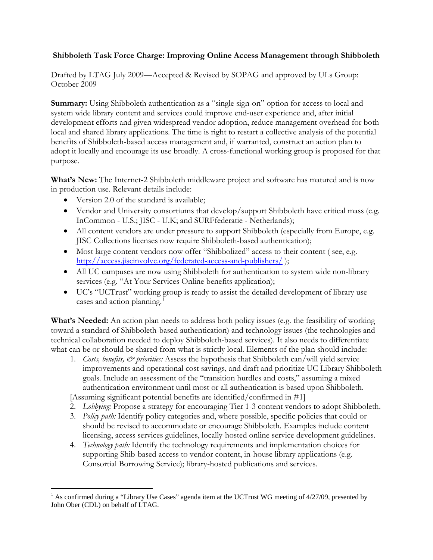## **Shibboleth Task Force Charge: Improving Online Access Management through Shibboleth**

Drafted by LTAG July 2009—Accepted & Revised by SOPAG and approved by ULs Group: October 2009

**Summary:** Using Shibboleth authentication as a "single sign-on" option for access to local and system wide library content and services could improve end-user experience and, after initial development efforts and given widespread vendor adoption, reduce management overhead for both local and shared library applications. The time is right to restart a collective analysis of the potential benefits of Shibboleth-based access management and, if warranted, construct an action plan to adopt it locally and encourage its use broadly. A cross-functional working group is proposed for that purpose.

**What's New:** The Internet-2 Shibboleth middleware project and software has matured and is now in production use. Relevant details include:

- Version 2.0 of the standard is available;
- Vendor and University consortiums that develop/support Shibboleth have critical mass (e.g. InCommon - U.S.; JISC - U.K; and SURFfederatie - Netherlands);
- All content vendors are under pressure to support Shibboleth (especially from Europe, e.g. JISC Collections licenses now require Shibboleth-based authentication);
- Most large content vendors now offer "Shibbolized" access to their content (see, e.g. <http://access.jiscinvolve.org/federated-access-and-publishers/> );
- All UC campuses are now using Shibboleth for authentication to system wide non-library services (e.g. "At Your Services Online benefits application);
- UC's "UCTrust" working group is ready to assist the detailed development of library use cases and action planning.<sup>[1](#page-0-0)</sup>

**What's Needed:** An action plan needs to address both policy issues (e.g. the feasibility of working toward a standard of Shibboleth-based authentication) and technology issues (the technologies and technical collaboration needed to deploy Shibboleth-based services). It also needs to differentiate what can be or should be shared from what is strictly local. Elements of the plan should include:

1. *Costs, benefits, & priorities:* Assess the hypothesis that Shibboleth can/will yield service improvements and operational cost savings, and draft and prioritize UC Library Shibboleth goals. Include an assessment of the "transition hurdles and costs," assuming a mixed authentication environment until most or all authentication is based upon Shibboleth.

[Assuming significant potential benefits are identified/confirmed in #1]

- 2. *Lobbying:* Propose a strategy for encouraging Tier 1-3 content vendors to adopt Shibboleth.
- 3. *Policy path:* Identify policy categories and, where possible, specific policies that could or should be revised to accommodate or encourage Shibboleth. Examples include content licensing, access services guidelines, locally-hosted online service development guidelines.
- 4. *Technology path:* Identify the technology requirements and implementation choices for supporting Shib-based access to vendor content, in-house library applications (e.g. Consortial Borrowing Service); library-hosted publications and services.

<span id="page-0-0"></span> $1$  As confirmed during a "Library Use Cases" agenda item at the UCTrust WG meeting of  $4/27/09$ , presented by John Ober (CDL) on behalf of LTAG.